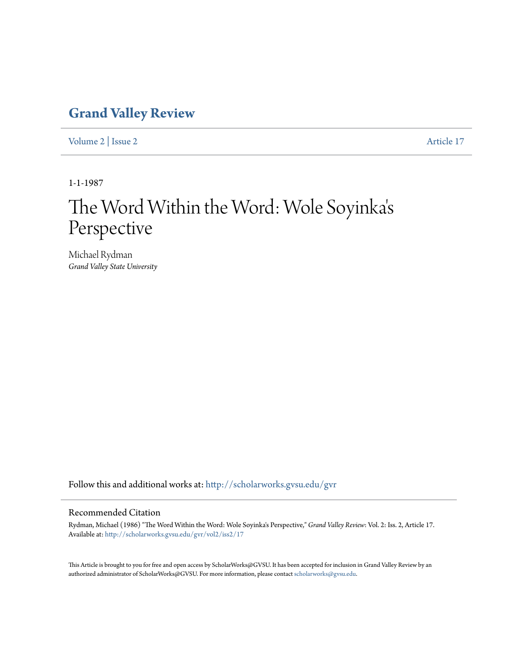## **[Grand Valley Review](http://scholarworks.gvsu.edu/gvr?utm_source=scholarworks.gvsu.edu%2Fgvr%2Fvol2%2Fiss2%2F17&utm_medium=PDF&utm_campaign=PDFCoverPages)**

[Volume 2](http://scholarworks.gvsu.edu/gvr/vol2?utm_source=scholarworks.gvsu.edu%2Fgvr%2Fvol2%2Fiss2%2F17&utm_medium=PDF&utm_campaign=PDFCoverPages) | [Issue 2](http://scholarworks.gvsu.edu/gvr/vol2/iss2?utm_source=scholarworks.gvsu.edu%2Fgvr%2Fvol2%2Fiss2%2F17&utm_medium=PDF&utm_campaign=PDFCoverPages) [Article 17](http://scholarworks.gvsu.edu/gvr/vol2/iss2/17?utm_source=scholarworks.gvsu.edu%2Fgvr%2Fvol2%2Fiss2%2F17&utm_medium=PDF&utm_campaign=PDFCoverPages)

1-1-1987

### The Word Within the Word: Wole Soyinka ' $\mathsf{s}'$ Perspective

Michael Rydman *Grand Valley State University*

Follow this and additional works at: [http://scholarworks.gvsu.edu/gvr](http://scholarworks.gvsu.edu/gvr?utm_source=scholarworks.gvsu.edu%2Fgvr%2Fvol2%2Fiss2%2F17&utm_medium=PDF&utm_campaign=PDFCoverPages)

### Recommended Citation

Rydman, Michael (1986) "The Word Within the Word: Wole Soyinka's Perspective," *Grand Valley Review*: Vol. 2: Iss. 2, Article 17. Available at: [http://scholarworks.gvsu.edu/gvr/vol2/iss2/17](http://scholarworks.gvsu.edu/gvr/vol2/iss2/17?utm_source=scholarworks.gvsu.edu%2Fgvr%2Fvol2%2Fiss2%2F17&utm_medium=PDF&utm_campaign=PDFCoverPages)

This Article is brought to you for free and open access by ScholarWorks@GVSU. It has been accepted for inclusion in Grand Valley Review by an authorized administrator of ScholarWorks@GVSU. For more information, please contact [scholarworks@gvsu.edu.](mailto:scholarworks@gvsu.edu)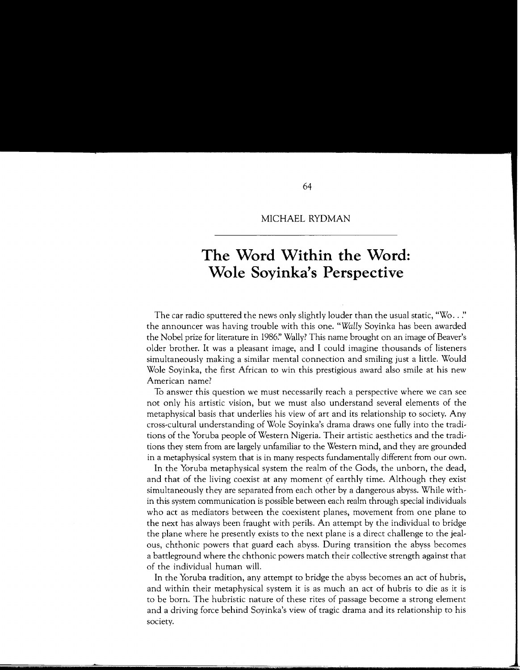#### MICHAEL RYDMAN

# **The Word Within the Word: Wole Soyinka's Perspective**

The car radio sputtered the news only slightly louder than the usual static, "Wo .. *!'*  the announcer was having trouble with this one. *"Wally* Soyinka has been awarded the Nobel prize for literature in 1986?' Wally? This name brought on an image of Beaver's older brother. It was a pleasant image, and I could imagine thousands of listeners simultaneously making a similar mental connection and smiling just a little. Would Wale Soyinka, the first African to win this prestigious award also smile at his new American name?

To answer this question we must necessarily reach a perspective where we can see not only his artistic vision, but we must also understand several elements of the metaphysical basis that underlies his view of art and its relationship to society. Any cross-cultural understanding of Wale Soyinka's drama draws one fully into the traditions of the Yoruba people of Western Nigeria. Their artistic aesthetics and the traditions they stem from are largely unfamiliar to the Western mind, and they are grounded in a metaphysical system that is in many respects fundamentally different from our own.

In the Yoruba metaphysical system the realm of the Gods, the unborn, the dead, and that of the living coexist at any moment of earthly time. Although they exist simultaneously they are separated from each other by a dangerous abyss. While within this system communication is possible between each realm through special individuals who act as mediators between the coexistent planes, movement from one plane to the next has always been fraught with perils. An attempt by the individual to bridge the plane where he presently exists to the next plane is a direct challenge to the jealous, chthonic powers that guard each abyss. During transition the abyss becomes a battleground where the chthonic powers match their collective strength against that of the individual human will.

In the Yoruba tradition, any attempt to bridge the abyss becomes an act of hubris, and within their metaphysical system it is as much an act of hubris to die as it is to be born. The hubristic nature of these rites of passage become a strong element and a driving force behind Soyinka's view of tragic drama and its relationship to his society.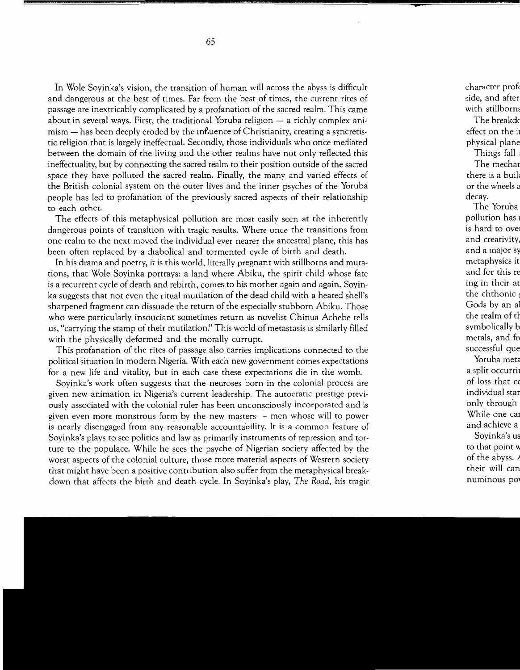In Wole Soyinka's vision, the transition of human will across the abyss is difficult and dangerous at the best of times. Far from the best of times, the current rites of passage are inextricably complicated by a profanation of the sacred realm. This came about in several ways. First, the traditional Yoruba religion  $-$  a richly complex ani $mism - has been deeply eroded by the influence of Christianity, creating a syntretis$ tic religion that is largely ineffectual. Secondly, those individuals who once mediated between the domain of the living and the other realms have not only reflected this ineffectuality, but by connecting the sacred realm to their position outside of the sacred space they have polluted the sacred realm. Finally, the many and varied effects of the British colonial system on the outer lives and the inner psyches of the Yoruba people has led to profanation of the previously sacred aspects of their relationship to each other.

The effects of this metaphysical pollution are most easily seen at the inherently dangerous points of transition with tragic results. Where once the transitions from one realm to the next moved the individual ever nearer the ancestral plane, this has been often replaced by a diabolical and tormented cycle of birth and death.

In his drama and poetry, it is this world, literally pregnant with stillborns and mutations, that Wale Soyinka portrays: a land where Abiku, the spirit child whose fate is a recurrent cycle of death and rebirth, comes to his mother again and again. Soyinka suggests that not even the ritual mutilation of the dead child with a heated shell's sharpened fragment can dissuade the return of the especially stubborn Abiku. Those who were particularly insouciant sometimes return as novelist Chinua Achebe tells us, "carrying the stamp of their mutilation:' This world of metastasis is similarly filled with the physically deformed and the morally currupt.

This profanation of the rites of passage also carries implications connected to the political situation in modern Nigeria. With each new government comes expectations for a new life and vitality, but in each case these expectations die in the womb.

Soyinka's work often suggests that the neuroses born in the colonial process are given new animation in Nigeria's current leadership. The autocratic prestige previously associated with the colonial ruler has been unconsciously incorporated and is given even more monstrous form by the new masters  $-$  men whose will to power is nearly disengaged from any reasonable accountability. It is a common feature of Soyinka's plays to see politics and law as primarily instruments of repression and torture to the populace. While he sees the psyche of Nigerian society affected by the worst aspects of the colonial culture, those more material aspects of Western society that might have been a positive contribution also suffer from the metaphysical breakdown that affects the birth and death cycle. In Soyinka's play, *The Road,* his tragic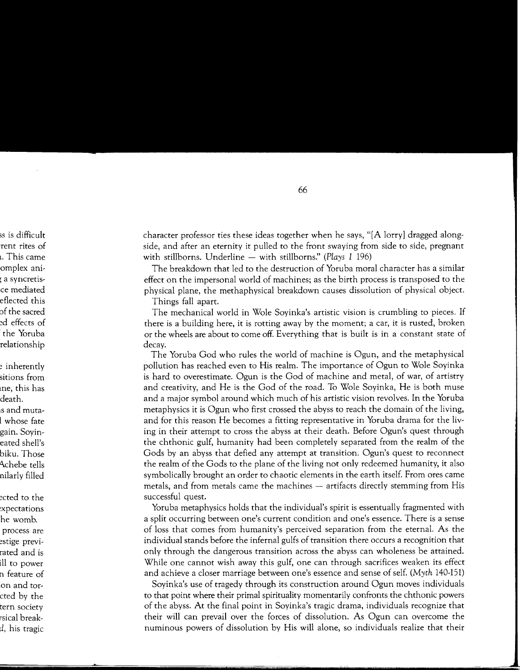character professor ties these ideas together when he says, "[A lorry] dragged alongside, and after an eternity it pulled to the front swaying from side to side, pregnant with stillborns. Underline - with stillborns." *(Plays 1 196)* 

The breakdown that led to the destruction of Yoruba moral character has a similar effect on the impersonal world of machines; as the birth process is transposed to the physical plane, the methaphysical breakdown causes dissolution of physical object.

Things fall apart.

The mechanical world in Wole Soyinka's artistic vision is crumbling to pieces. If there is a building here, it is rotting away by the moment; a car, it is rusted, broken or the wheels are about to come off. Everything that is built is in a constant state of decay.

The Yoruba God who rules the world of machine is Ogun, and the metaphysical pollution has reached even to His realm. The importance of Ogun to Wole Soyinka is hard to overestimate. Ogun is the God of machine and metal, of war, of artistry and creativity, and He is the God of the road. To Wole Soyinka, He is both muse and a major symbol around which much of his artistic vision revolves. In the Yoruba metaphysics it is Ogun who first crossed the abyss to reach the domain of the living, and for this reason He becomes a fitting representative in Yoruba drama for the living in their attempt to cross the abyss at their death. Before Ogun's quest through the chthonic gulf, humanity had been completely separated from the realm of the Gods by an abyss that defied any attempt at transition. Ogun's quest to reconnect the realm of the Gods to the plane of the living not only redeemed humanity, it also symbolically brought an order to chaotic elements in the earth itself. From ores came metals, and from metals came the machines — artifacts directly stemming from His successful quest.

Yoruba metaphysics holds that the individual's spirit is essentually fragmented with a split occurring between one's current condition and one's essence. There is a sense of loss that comes from humanity's perceived separation from the eternal. As the individual stands before the infernal gulfs of transition there occurs a recognition that only through the dangerous transition across the abyss can wholeness be attained. While one cannot wish away this gulf, one can through sacrifices weaken its effect and achieve a closer marriage between one's essence and sense of self. *(Myth* 140-151)

Soyinka's use of tragedy through its construction around Ogun moves individuals to that point where their primal spirituality momentarily confronts the chthonic powers of the abyss. At the final point in Soyinka's tragic drama, individuals recognize that their will can prevail over the forces of dissolution. As Ogun can overcome the numinous powers of dissolution by His will alone, so individuals realize that their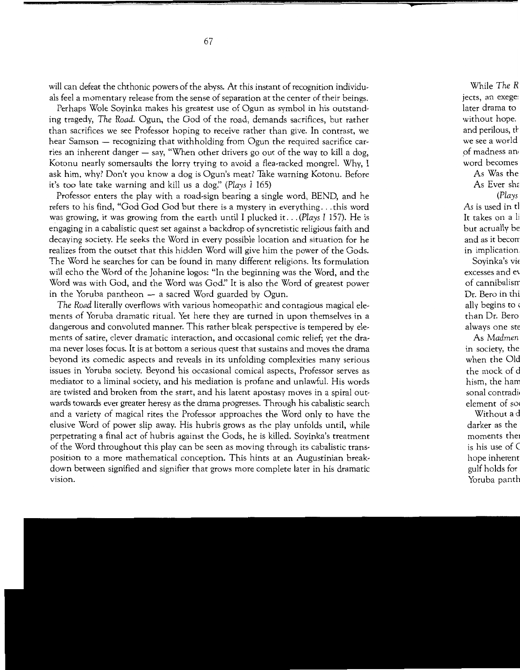will can defeat the chthonic powers of the abyss. At this instant of recognition individuals feel a momentary release from the sense of separation at the center of their beings.

Perhaps Wale Soyinka makes his greatest use of Ogun as symbol in his outstanding tragedy, *The Road.* Ogun, the God of the road, demands sacrifices, but rather than sacrifices we see Professor hoping to receive rather than give. In contrast, we hear Samson  $-$  recognizing that withholding from Ogun the required sacrifice carries an inherent danger  $-$  say, "When other drivers go out of the way to kill a dog, Kotonu nearly somersaults the lorry trying to avoid a flea-racked mongrel. Why, I ask him, why? Don't you know a dog is Ogun's meat? Take warning Kotonu. Before it's too late take warning and kill us a dog." *(Plays I* 165)

Professor enters the play with a road-sign bearing a single word, BEND, and he refers to his find, "God God God but there is a mystery in everything ... this word was growing, it was growing from the earth until I plucked it ... *(Plays I* 157). He is engaging in a cabalistic quest set against a backdrop of syncretistic religious faith and decaying society. He seeks the Word in every possible location and situation for he realizes from the outset that this hidden Word will give him the power of the Gods. The Word he searches for can be found in many different religions. Its formulation will echo the Word of the Johanine logos: "In the beginning was the Word, and the Word was with God, and the Word was *God:'* It is also the Word of greatest power in the Yoruba pantheon  $-$  a sacred Word guarded by Ogun.

*The Road* literally overflows with various homeopathic and contagious magical elements of Yoruba dramatic ritual. Yet here they are turned in upon themselves in a dangerous and convoluted manner. This rather bleak perspective is tempered by elements of satire, clever dramatic interaction, and occasional comic relief; yet the drama never loses focus. It is at bottom a serious quest that sustains and moves the drama beyond its comedic aspects and reveals in its unfolding complexities many serious issues in Yoruba society. Beyond his occasional comical aspects, Professor serves as mediator to a liminal society, and his mediation is profane and unlawful. His words are twisted and broken from the start, and his latent apostasy moves in a spiral outwards towards ever greater heresy as the drama progresses. Through his cabalistic search and a variety of magical rites the Professor approaches the Word only to have the elusive Word of power slip away. His hubris grows as the play unfolds until, while perpetrating a final act of hubris against the Gods, he is killed. Soyinka's treatment of the Word throughout this play can be seen as moving through its cabalistic transposition to a more mathematical conception. This hints at an Augustinian breakdown between signified and signifier that grows more complete later in his dramatic vision.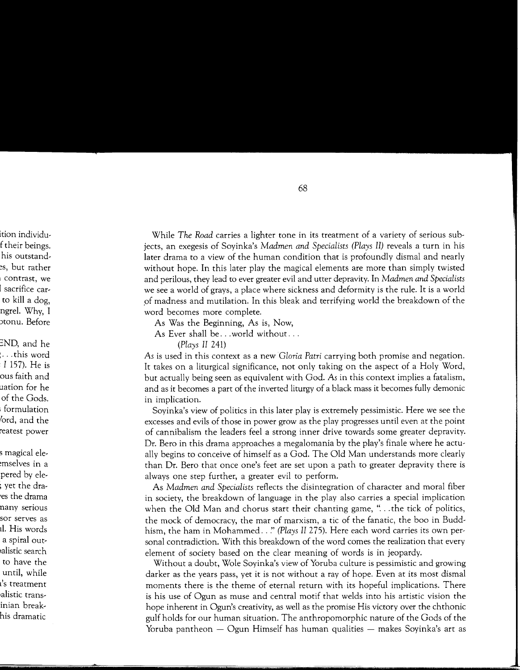While *The Road* carries a lighter tone in its treatment of a variety of serious subjects, an exegesis of Soyinka's *Madmen and Specialists (Plays II)* reveals a turn in his later drama to a view of the human condition that is profoundly dismal and nearly without hope. In this later play the magical elements are more than simply twisted and perilous, they lead to ever greater evil and utter depravity. In *Madmen and Specialists*  we see a world of grays, a place where sickness and deformity is the rule. It is a world of madness and mutilation. In this bleak and terrifying world the breakdown of the word becomes more complete.

As Was the Beginning, As is, Now,

As Ever shall be ... world without...

*(Plays II* 241)

*As* is used in this context as a new *Gloria Patri* carrying both promise and negation. It takes on a liturgical significance, not only taking on the aspect of a Holy Word, but actually being seen as equivalent with God. *As* in this context implies a fatalism, and as it becomes a part of the inverted liturgy of a black mass it becomes fully demonic in implication.

Soyinka's view of politics in this later play is extremely pessimistic. Here we see the excesses and evils of those in power grow as the play progresses until even at the point of cannibalism the leaders feel a strong inner drive towards some greater depravity. Dr. Bero in this drama approaches a megalomania by the play's finale where he actually begins to conceive of himself as a God. The Old Man understands more clearly than Dr. Bero that once one's feet are set upon a path to greater depravity there is always one step further, a greater evil to perform.

As *Madmen and Specialists* reflects the disintegration of character and moral fiber in society, the breakdown of language in the play also carries a special implication when the Old Man and chorus start their chanting game, "... the tick of politics, the mock of democracy, the mar of marxism, a tic of the fanatic, the boo in Buddhism, the ham in Mohammed .. !' *(Plays II* 275). Here each word carries its own personal contradiction. With this breakdown of the word comes the realization that every element of society based on the clear meaning of words is in jeopardy.

Without a doubt, Wole Soyinka's view of Yoruba culture is pessimistic and growing darker as the years pass, yet it is not without a ray of hope. Even at its most dismal moments there is the theme of eternal return with its hopeful implications. There is his use of Ogun as muse and central motif that welds into his artistic vision the hope inherent in Ogun's creativity, as well as the promise His victory over the chthonic gulf holds for our human situation. The anthropomorphic nature of the Gods of the Yoruba pantheon  $-$  Ogun Himself has human qualities  $-$  makes Soyinka's art as